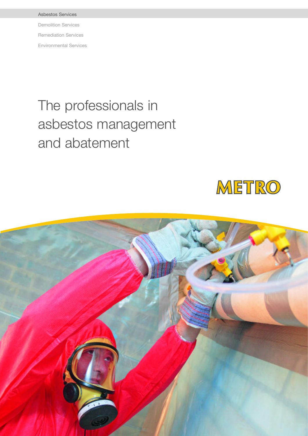Asbestos Services Demolition Services Remediation Services Environmental Services

# The professionals in asbestos management and abatement



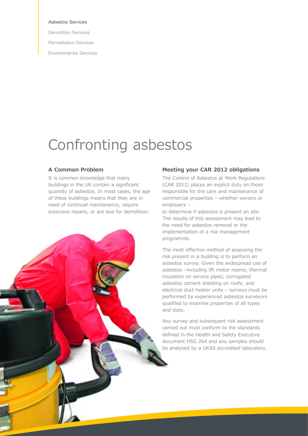#### Asbestos Services

Demolition Services

Remediation Services

Environmental Services

### Confronting asbestos

#### **A Common Problem**

It is common knowledge that many buildings in the UK contain a significant quantity of asbestos. In most cases, the age of these buildings means that they are in need of continual maintenance, require extensive repairs, or are due for demolition.

**MARITAN COMPOSE** 

#### **Meeting your CAR 2012 obligations**

The Control of Asbestos at Work Regulations (CAR 2012) places an explicit duty on those responsible for the care and maintenance of commercial properties – whether owners or employers –

to determine if asbestos is present on site. The results of this assessment may lead to the need for asbestos removal or the implementation of a risk management programme.

The most effective method of assessing the risk present in a building is to perform an asbestos survey. Given the widespread use of asbestos –including lift motor rooms; thermal insulation on service pipes; corrugated asbestos cement sheeting on roofs; and electrical duct heater units – surveys must be performed by experienced asbestos surveyors qualified to examine properties of all types and sizes.

Any survey and subsequent risk assessment carried out must conform to the standards defined in the Health and Safety Executive document HSG 264 and any samples should be analysed by a UKAS accredited laboratory.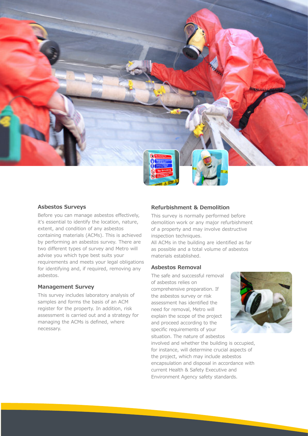

#### **Asbestos Surveys**

Before you can manage asbestos effectively, it's essential to identify the location, nature, extent, and condition of any asbestos containing materials (ACMs). This is achieved by performing an asbestos survey. There are two different types of survey and Metro will advise you which type best suits your requirements and meets your legal obligations for identifying and, if required, removing any asbestos.

#### **Management Survey**

This survey includes laboratory analysis of samples and forms the basis of an ACM register for the property. In addition, risk assessment is carried out and a strategy for managing the ACMs is defined, where necessary.

#### **Refurbishment & Demolition**

This survey is normally performed before demolition work or any major refurbishment of a property and may involve destructive inspection techniques.

All ACMs in the building are identified as far as possible and a total volume of asbestos materials established.

#### **Asbestos Removal**

The safe and successful removal of asbestos relies on comprehensive preparation. If the asbestos survey or risk assessment has identified the need for removal, Metro will explain the scope of the project and proceed according to the specific requirements of your situation. The nature of asbestos



involved and whether the building is occupied, for instance, will determine crucial aspects of the project, which may include asbestos encapsulation and disposal in accordance with current Health & Safety Executive and Environment Agency safety standards.